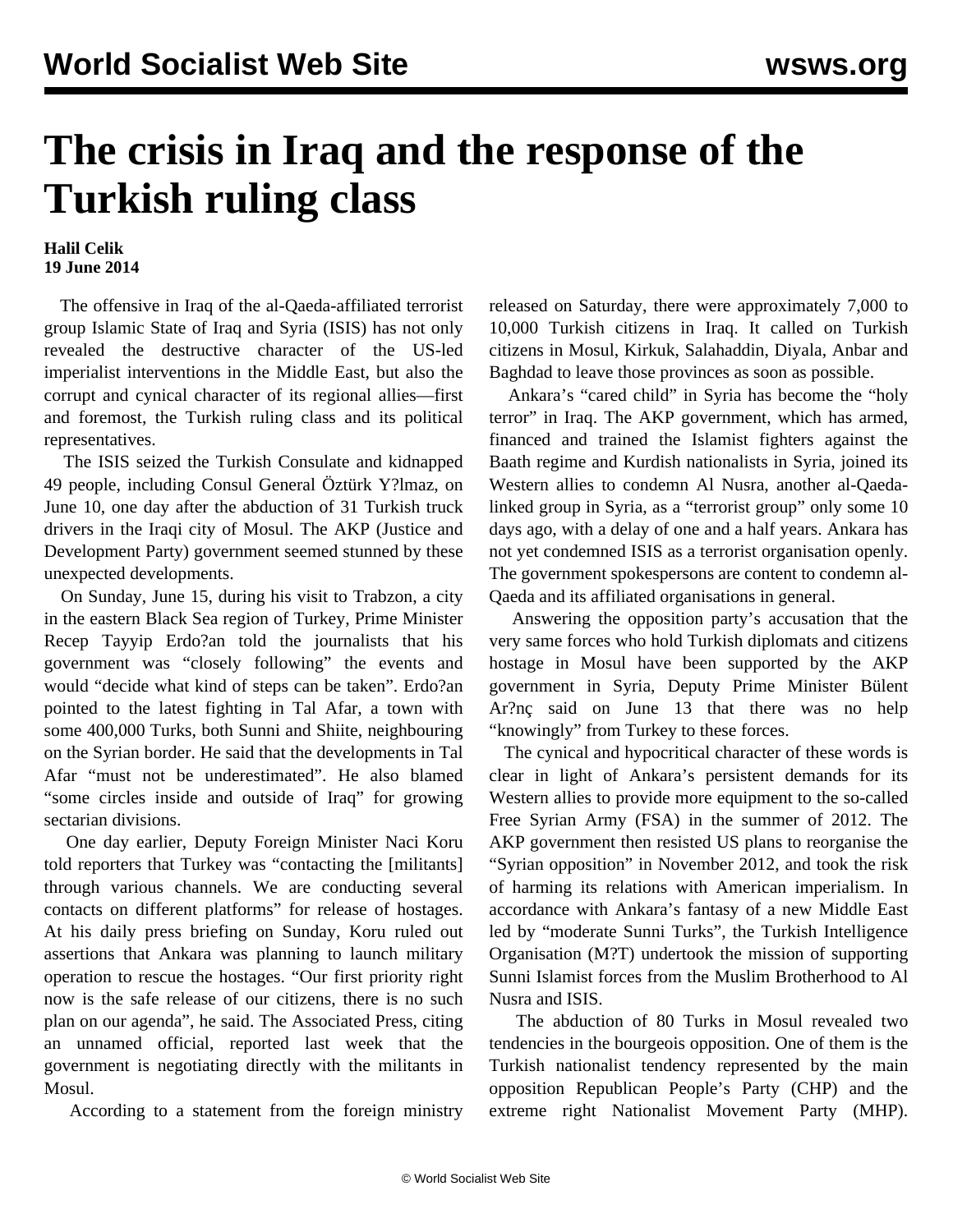## **The crisis in Iraq and the response of the Turkish ruling class**

## **Halil Celik 19 June 2014**

 The offensive in Iraq of the al-Qaeda-affiliated terrorist group Islamic State of Iraq and Syria (ISIS) has not only revealed the destructive character of the US-led imperialist interventions in the Middle East, but also the corrupt and cynical character of its regional allies—first and foremost, the Turkish ruling class and its political representatives.

 The ISIS seized the Turkish Consulate and kidnapped 49 people, including Consul General Öztürk Y?lmaz, on June 10, one day after the abduction of 31 Turkish truck drivers in the Iraqi city of Mosul. The AKP (Justice and Development Party) government seemed stunned by these unexpected developments.

 On Sunday, June 15, during his visit to Trabzon, a city in the eastern Black Sea region of Turkey, Prime Minister Recep Tayyip Erdo?an told the journalists that his government was "closely following" the events and would "decide what kind of steps can be taken". Erdo?an pointed to the latest fighting in Tal Afar, a town with some 400,000 Turks, both Sunni and Shiite, neighbouring on the Syrian border. He said that the developments in Tal Afar "must not be underestimated". He also blamed "some circles inside and outside of Iraq" for growing sectarian divisions.

 One day earlier, Deputy Foreign Minister Naci Koru told reporters that Turkey was "contacting the [militants] through various channels. We are conducting several contacts on different platforms" for release of hostages. At his daily press briefing on Sunday, Koru ruled out assertions that Ankara was planning to launch military operation to rescue the hostages. "Our first priority right now is the safe release of our citizens, there is no such plan on our agenda", he said. The Associated Press, citing an unnamed official, reported last week that the government is negotiating directly with the militants in Mosul.

According to a statement from the foreign ministry

released on Saturday, there were approximately 7,000 to 10,000 Turkish citizens in Iraq. It called on Turkish citizens in Mosul, Kirkuk, Salahaddin, Diyala, Anbar and Baghdad to leave those provinces as soon as possible.

 Ankara's "cared child" in Syria has become the "holy terror" in Iraq. The AKP government, which has armed, financed and trained the Islamist fighters against the Baath regime and Kurdish nationalists in Syria, joined its Western allies to condemn Al Nusra, another al-Qaedalinked group in Syria, as a "terrorist group" only some 10 days ago, with a delay of one and a half years. Ankara has not yet condemned ISIS as a terrorist organisation openly. The government spokespersons are content to condemn al-Qaeda and its affiliated organisations in general.

 Answering the opposition party's accusation that the very same forces who hold Turkish diplomats and citizens hostage in Mosul have been supported by the AKP government in Syria, Deputy Prime Minister Bülent Ar?nç said on June 13 that there was no help "knowingly" from Turkey to these forces.

 The cynical and hypocritical character of these words is clear in light of Ankara's persistent demands for its Western allies to provide more equipment to the so-called Free Syrian Army (FSA) in the summer of 2012. The AKP government then resisted US plans to reorganise the "Syrian opposition" in November 2012, and took the risk of harming its relations with American imperialism. In accordance with Ankara's fantasy of a new Middle East led by "moderate Sunni Turks", the Turkish Intelligence Organisation (M?T) undertook the mission of supporting Sunni Islamist forces from the Muslim Brotherhood to Al Nusra and ISIS.

 The abduction of 80 Turks in Mosul revealed two tendencies in the bourgeois opposition. One of them is the Turkish nationalist tendency represented by the main opposition Republican People's Party (CHP) and the extreme right Nationalist Movement Party (MHP).